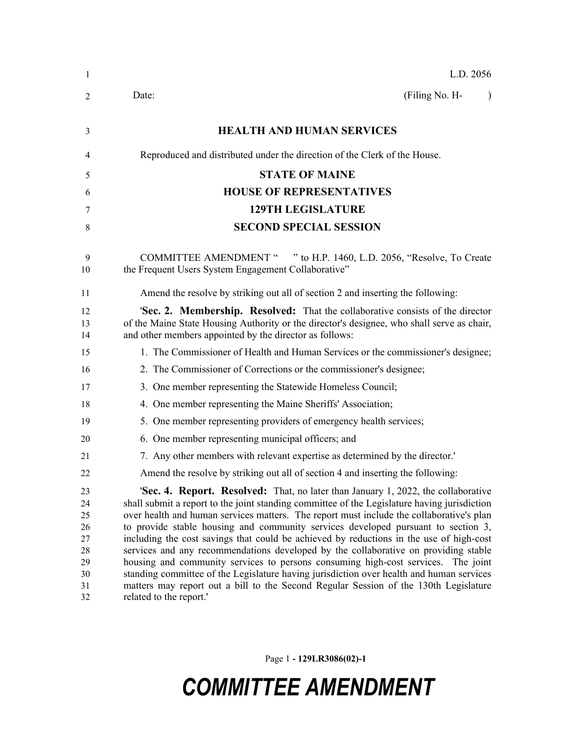| $\mathbf{1}$                                             | L.D. 2056                                                                                                                                                                                                                                                                                                                                                                                                                                                                                                                                                                                                                                                                                                                                                                                                                                                          |
|----------------------------------------------------------|--------------------------------------------------------------------------------------------------------------------------------------------------------------------------------------------------------------------------------------------------------------------------------------------------------------------------------------------------------------------------------------------------------------------------------------------------------------------------------------------------------------------------------------------------------------------------------------------------------------------------------------------------------------------------------------------------------------------------------------------------------------------------------------------------------------------------------------------------------------------|
| 2                                                        | (Filing No. H-<br>Date:                                                                                                                                                                                                                                                                                                                                                                                                                                                                                                                                                                                                                                                                                                                                                                                                                                            |
| 3                                                        | <b>HEALTH AND HUMAN SERVICES</b>                                                                                                                                                                                                                                                                                                                                                                                                                                                                                                                                                                                                                                                                                                                                                                                                                                   |
| 4                                                        | Reproduced and distributed under the direction of the Clerk of the House.                                                                                                                                                                                                                                                                                                                                                                                                                                                                                                                                                                                                                                                                                                                                                                                          |
| 5                                                        | <b>STATE OF MAINE</b>                                                                                                                                                                                                                                                                                                                                                                                                                                                                                                                                                                                                                                                                                                                                                                                                                                              |
| 6                                                        | <b>HOUSE OF REPRESENTATIVES</b>                                                                                                                                                                                                                                                                                                                                                                                                                                                                                                                                                                                                                                                                                                                                                                                                                                    |
| 7                                                        | <b>129TH LEGISLATURE</b>                                                                                                                                                                                                                                                                                                                                                                                                                                                                                                                                                                                                                                                                                                                                                                                                                                           |
| 8                                                        | <b>SECOND SPECIAL SESSION</b>                                                                                                                                                                                                                                                                                                                                                                                                                                                                                                                                                                                                                                                                                                                                                                                                                                      |
| 9<br>10                                                  | COMMITTEE AMENDMENT " " to H.P. 1460, L.D. 2056, "Resolve, To Create<br>the Frequent Users System Engagement Collaborative"                                                                                                                                                                                                                                                                                                                                                                                                                                                                                                                                                                                                                                                                                                                                        |
| 11                                                       | Amend the resolve by striking out all of section 2 and inserting the following:                                                                                                                                                                                                                                                                                                                                                                                                                                                                                                                                                                                                                                                                                                                                                                                    |
| 12<br>13<br>14                                           | <b>'Sec. 2. Membership. Resolved:</b> That the collaborative consists of the director<br>of the Maine State Housing Authority or the director's designee, who shall serve as chair,<br>and other members appointed by the director as follows:                                                                                                                                                                                                                                                                                                                                                                                                                                                                                                                                                                                                                     |
| 15                                                       | 1. The Commissioner of Health and Human Services or the commissioner's designee;                                                                                                                                                                                                                                                                                                                                                                                                                                                                                                                                                                                                                                                                                                                                                                                   |
| 16                                                       | 2. The Commissioner of Corrections or the commissioner's designee;                                                                                                                                                                                                                                                                                                                                                                                                                                                                                                                                                                                                                                                                                                                                                                                                 |
| 17                                                       | 3. One member representing the Statewide Homeless Council;                                                                                                                                                                                                                                                                                                                                                                                                                                                                                                                                                                                                                                                                                                                                                                                                         |
| 18                                                       | 4. One member representing the Maine Sheriffs' Association;                                                                                                                                                                                                                                                                                                                                                                                                                                                                                                                                                                                                                                                                                                                                                                                                        |
| 19                                                       | 5. One member representing providers of emergency health services;                                                                                                                                                                                                                                                                                                                                                                                                                                                                                                                                                                                                                                                                                                                                                                                                 |
| 20                                                       | 6. One member representing municipal officers; and                                                                                                                                                                                                                                                                                                                                                                                                                                                                                                                                                                                                                                                                                                                                                                                                                 |
| 21                                                       | 7. Any other members with relevant expertise as determined by the director.                                                                                                                                                                                                                                                                                                                                                                                                                                                                                                                                                                                                                                                                                                                                                                                        |
| 22                                                       | Amend the resolve by striking out all of section 4 and inserting the following:                                                                                                                                                                                                                                                                                                                                                                                                                                                                                                                                                                                                                                                                                                                                                                                    |
| 23<br>24<br>25<br>26<br>27<br>28<br>29<br>30<br>31<br>32 | <b>'Sec. 4. Report. Resolved:</b> That, no later than January 1, 2022, the collaborative<br>shall submit a report to the joint standing committee of the Legislature having jurisdiction<br>over health and human services matters. The report must include the collaborative's plan<br>to provide stable housing and community services developed pursuant to section 3,<br>including the cost savings that could be achieved by reductions in the use of high-cost<br>services and any recommendations developed by the collaborative on providing stable<br>housing and community services to persons consuming high-cost services.<br>The joint<br>standing committee of the Legislature having jurisdiction over health and human services<br>matters may report out a bill to the Second Regular Session of the 130th Legislature<br>related to the report.' |

Page 1 **- 129LR3086(02)-1**

## *COMMITTEE AMENDMENT*